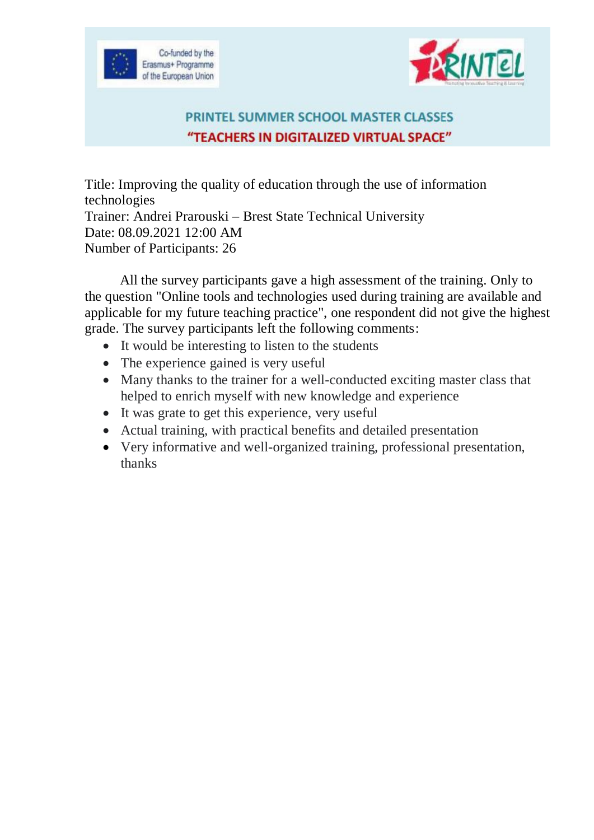



## PRINTEL SUMMER SCHOOL MASTER CLASSES "TEACHERS IN DIGITALIZED VIRTUAL SPACE"

Title: Improving the quality of education through the use of information technologies Trainer: Andrei Prarouski – Brest State Technical University Date: 08.09.2021 12:00 AM Number of Participants: 26

All the survey participants gave a high assessment of the training. Only to the question "Online tools and technologies used during training are available and applicable for my future teaching practice", one respondent did not give the highest grade. The survey participants left the following comments:

- It would be interesting to listen to the students
- The experience gained is very useful
- Many thanks to the trainer for a well-conducted exciting master class that helped to enrich myself with new knowledge and experience
- It was grate to get this experience, very useful
- Actual training, with practical benefits and detailed presentation
- Very informative and well-organized training, professional presentation, thanks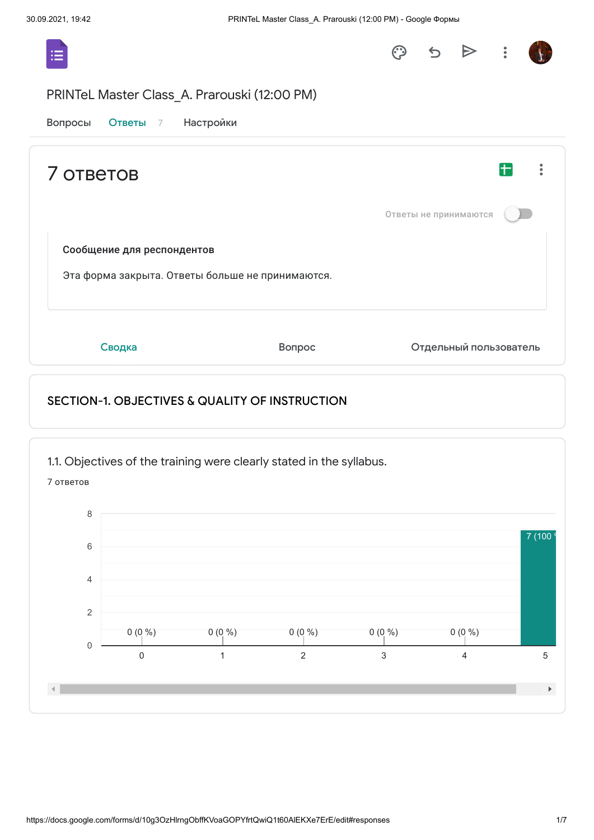

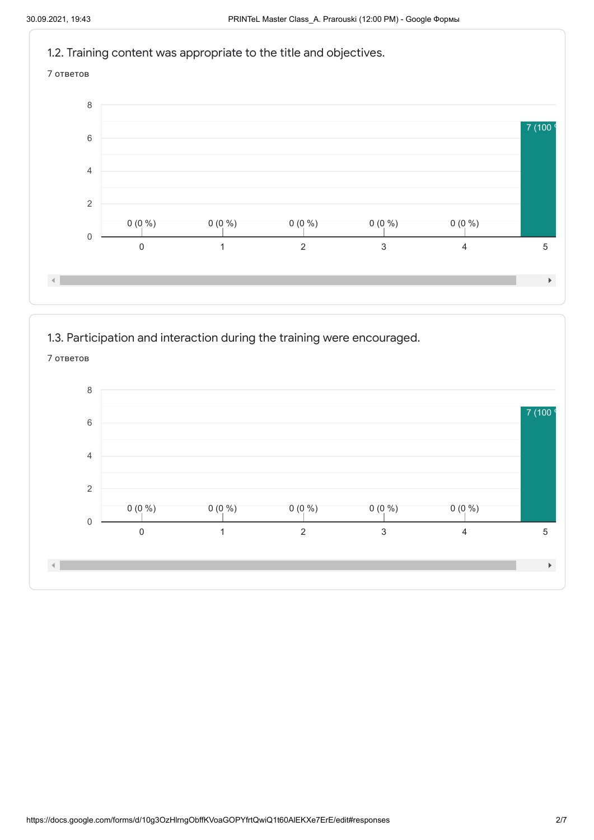

1.3. Participation and interaction during the training were encouraged.

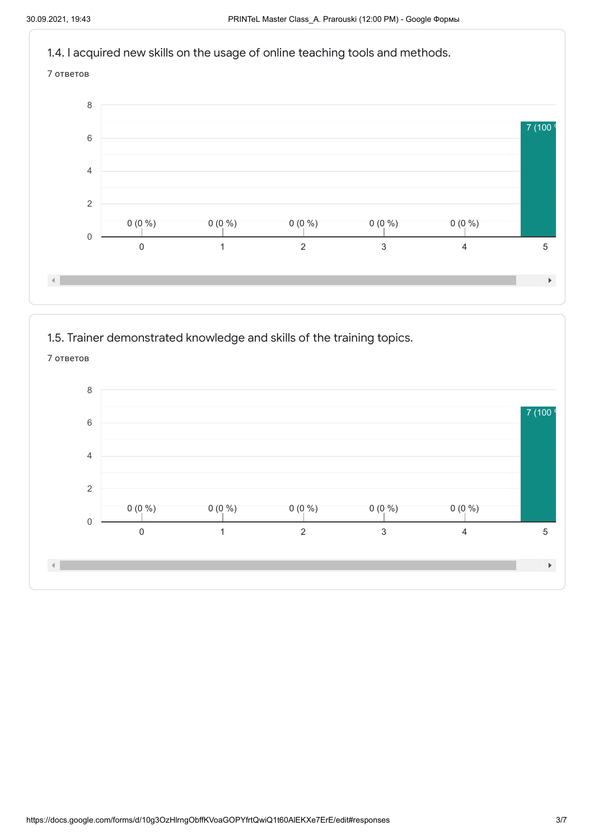



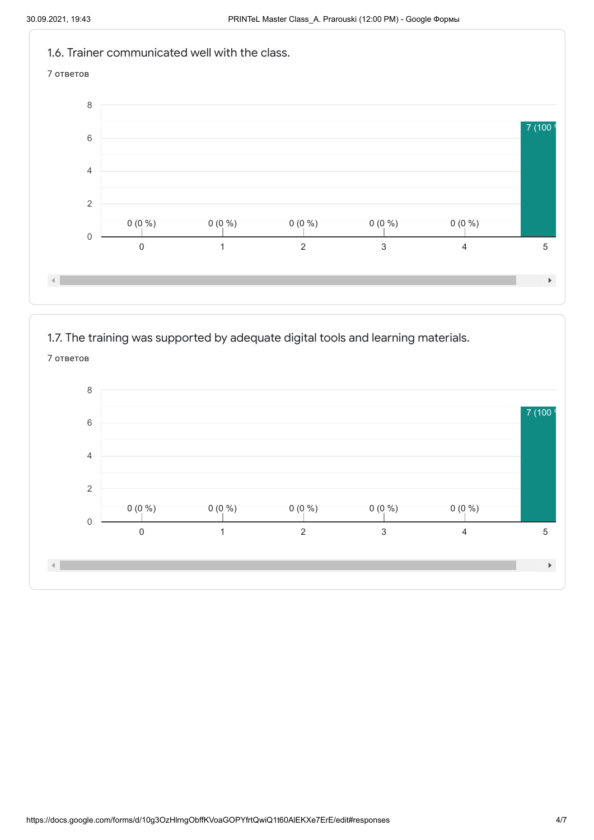

1.7. The training was supported by adequate digital tools and learning materials.

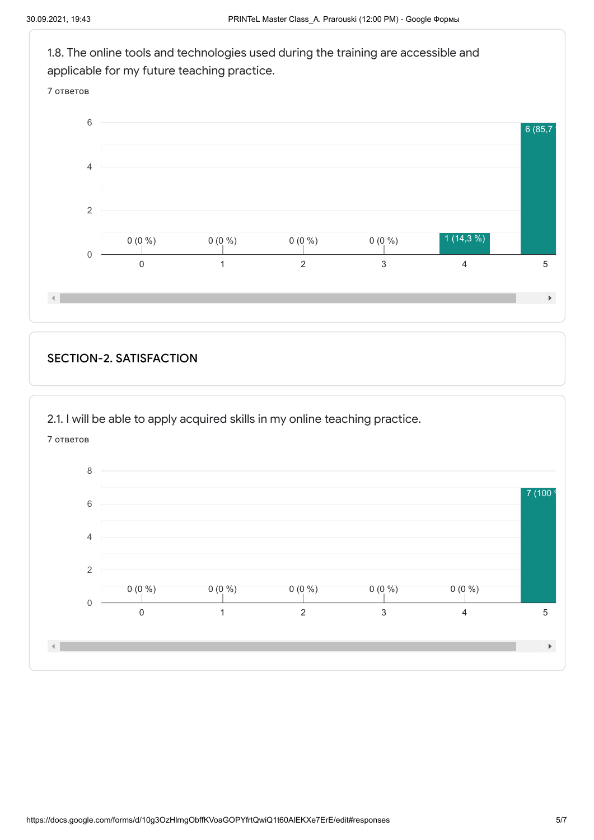

## SECTION-2. SATISFACTION

2.1. I will be able to apply acquired skills in my online teaching practice.

7 ответов

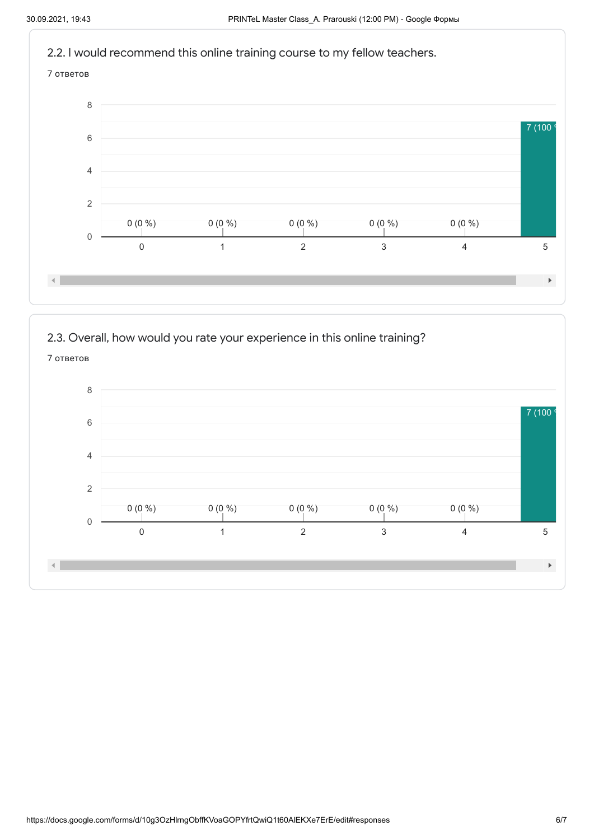

2.3. Overall, how would you rate your experience in this online training?